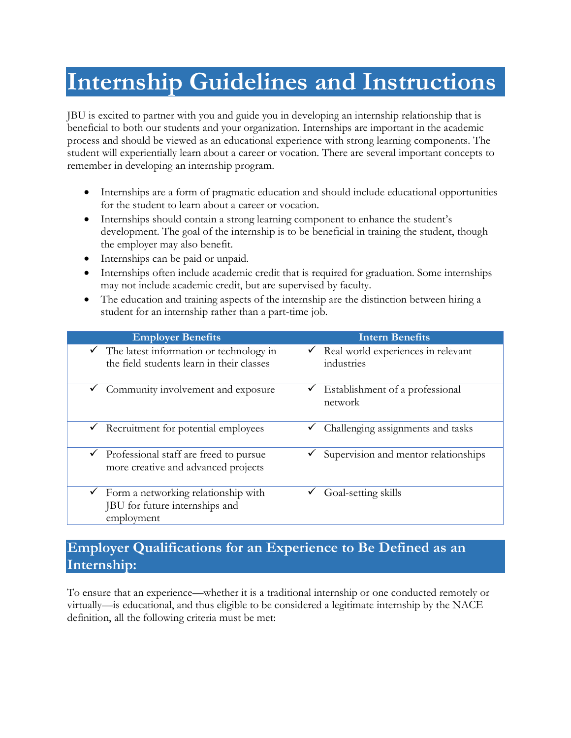# **Internship Guidelines and Instructions**

JBU is excited to partner with you and guide you in developing an internship relationship that is beneficial to both our students and your organization. Internships are important in the academic process and should be viewed as an educational experience with strong learning components. The student will experientially learn about a career or vocation. There are several important concepts to remember in developing an internship program.

- Internships are a form of pragmatic education and should include educational opportunities for the student to learn about a career or vocation.
- Internships should contain a strong learning component to enhance the student's development. The goal of the internship is to be beneficial in training the student, though the employer may also benefit.
- Internships can be paid or unpaid.
- Internships often include academic credit that is required for graduation. Some internships may not include academic credit, but are supervised by faculty.
- The education and training aspects of the internship are the distinction between hiring a student for an internship rather than a part-time job.

| <b>Employer Benefits</b>                                                                          | <b>Intern Benefits</b>                                           |
|---------------------------------------------------------------------------------------------------|------------------------------------------------------------------|
| $\checkmark$ The latest information or technology in<br>the field students learn in their classes | Real world experiences in relevant<br>$\checkmark$<br>industries |
| $\checkmark$ Community involvement and exposure                                                   | Establishment of a professional<br>v<br>network                  |
| Recruitment for potential employees<br>$\checkmark$                                               | Challenging assignments and tasks<br>✓                           |
| Professional staff are freed to pursue<br>✓<br>more creative and advanced projects                | Supervision and mentor relationships                             |
| Form a networking relationship with<br>JBU for future internships and<br>employment               | Goal-setting skills                                              |

### **Employer Qualifications for an Experience to Be Defined as an Internship:**

To ensure that an experience—whether it is a traditional internship or one conducted remotely or virtually—is educational, and thus eligible to be considered a legitimate internship by the NACE definition, all the following criteria must be met: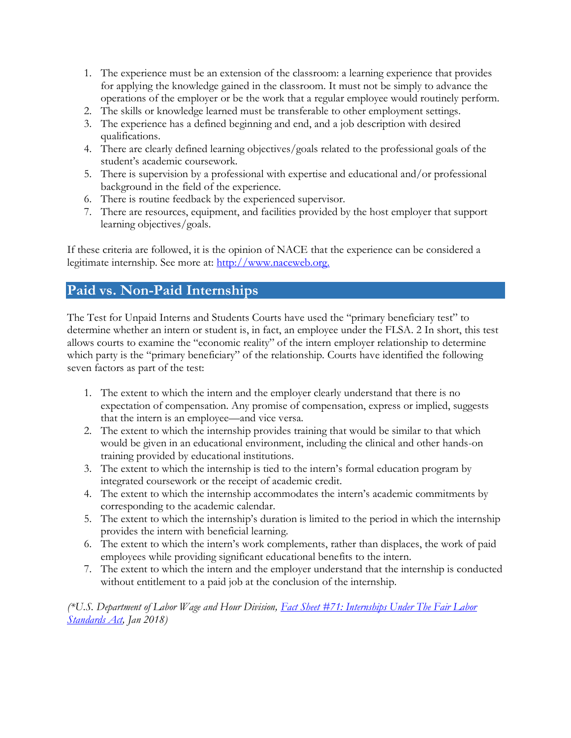- 1. The experience must be an extension of the classroom: a learning experience that provides for applying the knowledge gained in the classroom. It must not be simply to advance the operations of the employer or be the work that a regular employee would routinely perform.
- 2. The skills or knowledge learned must be transferable to other employment settings.
- 3. The experience has a defined beginning and end, and a job description with desired qualifications.
- 4. There are clearly defined learning objectives/goals related to the professional goals of the student's academic coursework.
- 5. There is supervision by a professional with expertise and educational and/or professional background in the field of the experience.
- 6. There is routine feedback by the experienced supervisor.
- 7. There are resources, equipment, and facilities provided by the host employer that support learning objectives/goals.

If these criteria are followed, it is the opinion of NACE that the experience can be considered a legitimate internship. See more at: [http://www.naceweb.org.](http://www.naceweb.org/advocacy/position-statements/united-states-internships.aspx%23sthash.CZ1WVxTs.dpuf)

### **Paid vs. Non-Paid Internships**

The Test for Unpaid Interns and Students Courts have used the "primary beneficiary test" to determine whether an intern or student is, in fact, an employee under the FLSA. 2 In short, this test allows courts to examine the "economic reality" of the intern employer relationship to determine which party is the "primary beneficiary" of the relationship. Courts have identified the following seven factors as part of the test:

- 1. The extent to which the intern and the employer clearly understand that there is no expectation of compensation. Any promise of compensation, express or implied, suggests that the intern is an employee—and vice versa.
- 2. The extent to which the internship provides training that would be similar to that which would be given in an educational environment, including the clinical and other hands-on training provided by educational institutions.
- 3. The extent to which the internship is tied to the intern's formal education program by integrated coursework or the receipt of academic credit.
- 4. The extent to which the internship accommodates the intern's academic commitments by corresponding to the academic calendar.
- 5. The extent to which the internship's duration is limited to the period in which the internship provides the intern with beneficial learning.
- 6. The extent to which the intern's work complements, rather than displaces, the work of paid employees while providing significant educational benefits to the intern.
- 7. The extent to which the intern and the employer understand that the internship is conducted without entitlement to a paid job at the conclusion of the internship.

*(\*U.S. Department of Labor Wage and Hour Division, [Fact Sheet #71: Internships Under The Fair Labor](/Volumes/career%20development/2017-2018/Policies/Fact%20Sheet%20#71: Internship Programs Under The Fair Labor Standards Act)  [Standards Act,](/Volumes/career%20development/2017-2018/Policies/Fact%20Sheet%20#71: Internship Programs Under The Fair Labor Standards Act) Jan 2018)*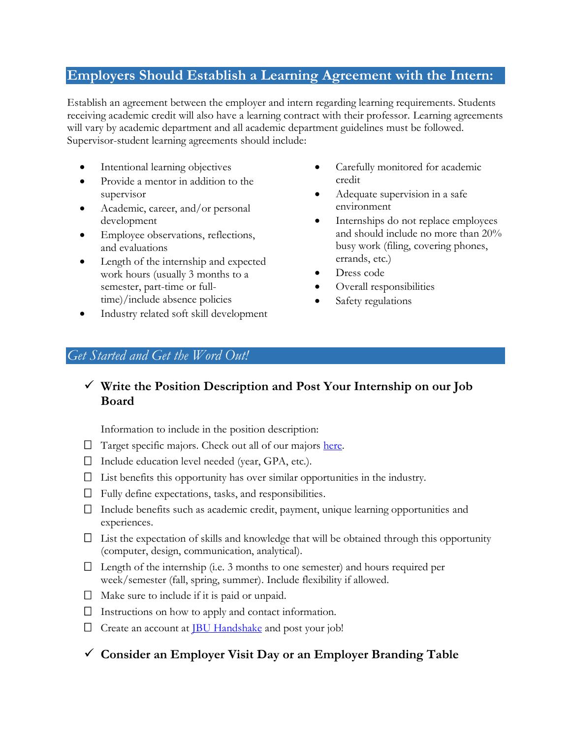### **Employers Should Establish a Learning Agreement with the Intern:**

Establish an agreement between the employer and intern regarding learning requirements. Students receiving academic credit will also have a learning contract with their professor. Learning agreements will vary by academic department and all academic department guidelines must be followed. Supervisor-student learning agreements should include:

- Intentional learning objectives
- Provide a mentor in addition to the supervisor
- Academic, career, and/or personal development
- Employee observations, reflections, and evaluations
- Length of the internship and expected work hours (usually 3 months to a semester, part-time or fulltime)/include absence policies
- Carefully monitored for academic credit
- Adequate supervision in a safe environment
- Internships do not replace employees and should include no more than 20% busy work (filing, covering phones, errands, etc.)
- Dress code
- Overall responsibilities
- Safety regulations

## • Industry related soft skill development

### *Get Started and Get the Word Out!*

### ✓ **Write the Position Description and Post Your Internship on our Job Board**

Information to include in the position description:

- $\Box$  Target specific majors. Check out all of our majors [here.](http://www.jbu.edu/catalog/current/majors/)
- $\Box$  Include education level needed (year, GPA, etc.).
- $\Box$  List benefits this opportunity has over similar opportunities in the industry.
- $\Box$  Fully define expectations, tasks, and responsibilities.
- $\Box$  Include benefits such as academic credit, payment, unique learning opportunities and experiences.
- $\Box$  List the expectation of skills and knowledge that will be obtained through this opportunity (computer, design, communication, analytical).
- $\Box$  Length of the internship (i.e. 3 months to one semester) and hours required per week/semester (fall, spring, summer). Include flexibility if allowed.
- $\Box$  Make sure to include if it is paid or unpaid.
- $\Box$  Instructions on how to apply and contact information.
- $\Box$  Create an account at **IBU Handshake** and post your job!
- ✓ **Consider an Employer Visit Day or an Employer Branding Table**